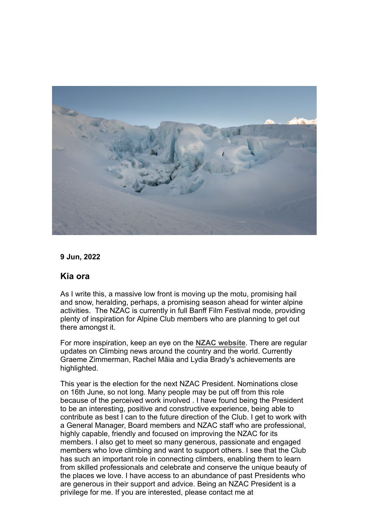

#### **9 Jun, 2022**

# **Kia ora**

As I write this, a massive low front is moving up the motu, promising hail and snow, heralding, perhaps, a promising season ahead for winter alpine activities. The NZAC is currently in full Banff Film Festival mode, providing plenty of inspiration for Alpine Club members who are planning to get out there amongst it.

For more inspiration, keep an eye on the **[NZAC website](http://www.alpineclub.org.nz/)**. There are regular updates on Climbing news around the country and the world. Currently Graeme Zimmerman, Rachel Māia and Lydia Brady's achievements are highlighted.

This year is the election for the next NZAC President. Nominations close on 16th June, so not long. Many people may be put off from this role because of the perceived work involved . I have found being the President to be an interesting, positive and constructive experience, being able to contribute as best I can to the future direction of the Club. I get to work with a General Manager, Board members and NZAC staff who are professional, highly capable, friendly and focused on improving the NZAC for its members. I also get to meet so many generous, passionate and engaged members who love climbing and want to support others. I see that the Club has such an important role in connecting climbers, enabling them to learn from skilled professionals and celebrate and conserve the unique beauty of the places we love. I have access to an abundance of past Presidents who are generous in their support and advice. Being an NZAC President is a privilege for me. If you are interested, please contact me at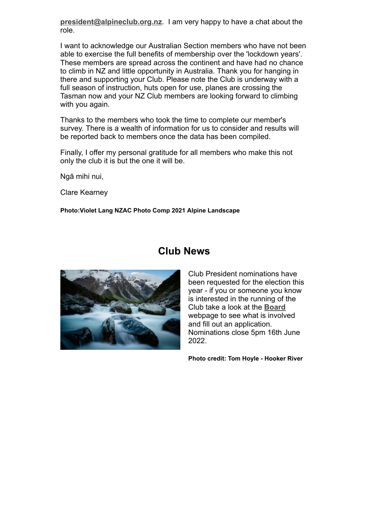**[president@alpineclub.org.nz](mailto:president@alpineclub.org.nz)**. I am very happy to have a chat about the role.

I want to acknowledge our Australian Section members who have not been able to exercise the full benefits of membership over the 'lockdown years'. These members are spread across the continent and have had no chance to climb in NZ and little opportunity in Australia. Thank you for hanging in there and supporting your Club. Please note the Club is underway with a full season of instruction, huts open for use, planes are crossing the Tasman now and your NZ Club members are looking forward to climbing with you again.

Thanks to the members who took the time to complete our member's survey. There is a wealth of information for us to consider and results will be reported back to members once the data has been compiled.

Finally, I offer my personal gratitude for all members who make this not only the club it is but the one it will be.

Ngā mihi nui,

Clare Kearney

**Photo:Violet Lang NZAC Photo Comp 2021 Alpine Landscape**



# **Club News**

Club President nominations have been requested for the election this year - if you or someone you know is interested in the running of the Club take a look at the **[Board](https://alpineclub.org.nz/board)** webpage to see what is involved and fill out an application. Nominations close 5pm 16th June 2022.

**Photo credit: Tom Hoyle - Hooker River**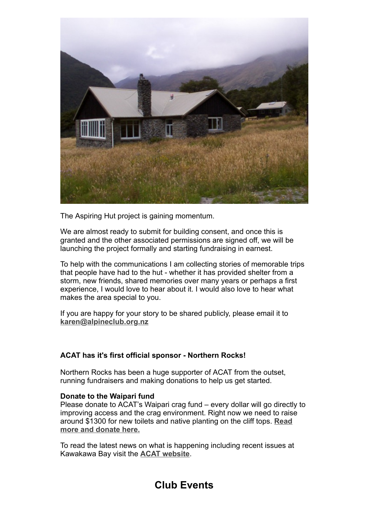

The Aspiring Hut project is gaining momentum.

We are almost ready to submit for building consent, and once this is granted and the other associated permissions are signed off, we will be launching the project formally and starting fundraising in earnest.

To help with the communications I am collecting stories of memorable trips that people have had to the hut - whether it has provided shelter from a storm, new friends, shared memories over many years or perhaps a first experience, I would love to hear about it. I would also love to hear what makes the area special to you.

If you are happy for your story to be shared publicly, please email it to **[karen@alpineclub.org.nz](mailto:karen@alpineclub.org.nz)**

# **ACAT has it's first official sponsor - Northern Rocks!**

Northern Rocks has been a huge supporter of ACAT from the outset, running fundraisers and making donations to help us get started.

#### **Donate to the Waipari fund**

Please donate to ACAT's Waipari crag fund – every dollar will go directly to improving access and the crag environment. Right now we need to raise [around \\$1300 for new toilets and native planting on the cliff tops.](https://www.acat.org.nz/for-climbers/donate-to-the-waipari-fund) **Read more and donate here.**

To read the latest news on what is happening including recent issues at Kawakawa Bay visit the **ACAT [website](https://www.acat.org.nz/)**.

# **Club Events**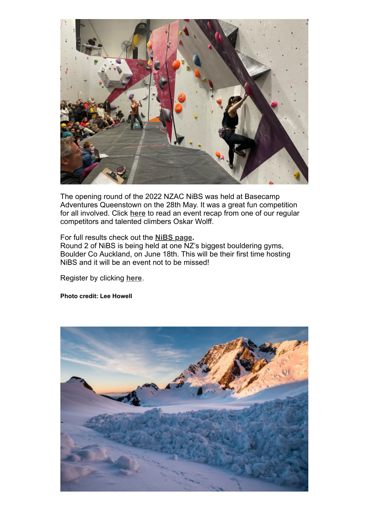

The opening round of the 2022 NZAC NiBS was held at Basecamp Adventures Queenstown on the 28th May. It was a great fun competition for all involved. Click **[here](https://alpineclub.org.nz/feature/national-indoor-bouldering-series-2022-round-one)** to read an event recap from one of our regular competitors and talented climbers Oskar Wolff.

For full results check out the **[NiBS page](https://nibs.nz/results/).** Round 2 of NiBS is being held at one NZ's biggest bouldering gyms, Boulder Co Auckland, on June 18th. This will be their first time hosting NiBS and it will be an event not to be missed!

Register by clicking **[here](https://nibs.nz/event/nibs-2022-round-2-auckland/)**.

**Photo credit: Lee Howell**

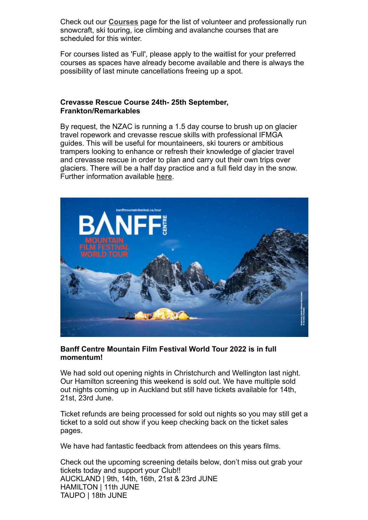Check out our **[Courses](https://alpineclub.org.nz/courses)** page for the list of volunteer and professionally run snowcraft, ski touring, ice climbing and avalanche courses that are scheduled for this winter.

For courses listed as 'Full', please apply to the waitlist for your preferred courses as spaces have already become available and there is always the possibility of last minute cancellations freeing up a spot.

#### **Crevasse Rescue Course 24th- 25th September, Frankton/Remarkables**

By request, the NZAC is running a 1.5 day course to brush up on glacier travel ropework and crevasse rescue skills with professional IFMGA guides. This will be useful for mountaineers, ski tourers or ambitious trampers looking to enhance or refresh their knowledge of glacier travel and crevasse rescue in order to plan and carry out their own trips over glaciers. There will be a half day practice and a full field day in the snow. Further information available **[here](https://alpineclub.org.nz/sites/default/files/2022-06/Crevasse%20Rescue%20Course.pdf)**.



#### **Banff Centre Mountain Film Festival World Tour 2022 is in full momentum!**

We had sold out opening nights in Christchurch and Wellington last night. Our Hamilton screening this weekend is sold out. We have multiple sold out nights coming up in Auckland but still have tickets available for 14th, 21st, 23rd June.

Ticket refunds are being processed for sold out nights so you may still get a ticket to a sold out show if you keep checking back on the ticket sales pages.

We have had fantastic feedback from attendees on this years films.

Check out the upcoming screening details below, don't miss out grab your tickets today and support your Club!! AUCKLAND | 9th, 14th, 16th, 21st & 23rd JUNE HAMILTON | 11th JUNE TAUPO | 18th JUNE